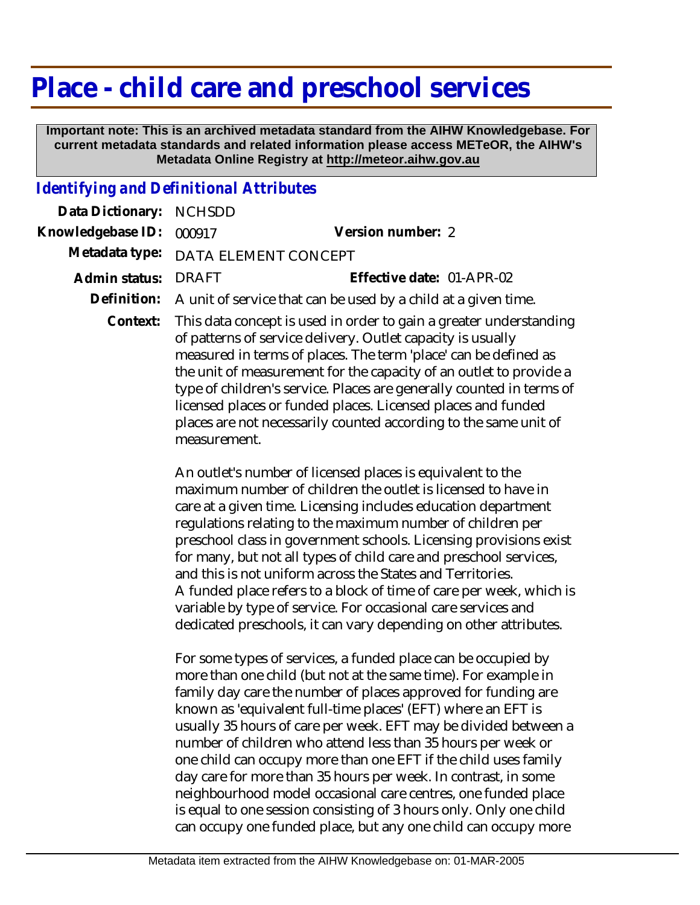## **Place - child care and preschool services**

 **Important note: This is an archived metadata standard from the AIHW Knowledgebase. For current metadata standards and related information please access METeOR, the AIHW's Metadata Online Registry at http://meteor.aihw.gov.au**

## *Identifying and Definitional Attributes*

| Data Dictionary:  | <b>NCHSDD</b>                                                                                                                                                                                                                                                                                                                                                                                                                                                                                          |                                                                                                                                                                                                                                                                                                                                                                                                                                                                                                                                                                                                                                                                               |
|-------------------|--------------------------------------------------------------------------------------------------------------------------------------------------------------------------------------------------------------------------------------------------------------------------------------------------------------------------------------------------------------------------------------------------------------------------------------------------------------------------------------------------------|-------------------------------------------------------------------------------------------------------------------------------------------------------------------------------------------------------------------------------------------------------------------------------------------------------------------------------------------------------------------------------------------------------------------------------------------------------------------------------------------------------------------------------------------------------------------------------------------------------------------------------------------------------------------------------|
| Knowledgebase ID: | 000917                                                                                                                                                                                                                                                                                                                                                                                                                                                                                                 | Version number: 2                                                                                                                                                                                                                                                                                                                                                                                                                                                                                                                                                                                                                                                             |
| Metadata type:    | DATA ELEMENT CONCEPT                                                                                                                                                                                                                                                                                                                                                                                                                                                                                   |                                                                                                                                                                                                                                                                                                                                                                                                                                                                                                                                                                                                                                                                               |
| Admin status:     | <b>DRAFT</b>                                                                                                                                                                                                                                                                                                                                                                                                                                                                                           | Effective date: 01-APR-02                                                                                                                                                                                                                                                                                                                                                                                                                                                                                                                                                                                                                                                     |
| Definition:       | A unit of service that can be used by a child at a given time.                                                                                                                                                                                                                                                                                                                                                                                                                                         |                                                                                                                                                                                                                                                                                                                                                                                                                                                                                                                                                                                                                                                                               |
| Context:          | This data concept is used in order to gain a greater understanding<br>of patterns of service delivery. Outlet capacity is usually<br>measured in terms of places. The term 'place' can be defined as<br>the unit of measurement for the capacity of an outlet to provide a<br>type of children's service. Places are generally counted in terms of<br>licensed places or funded places. Licensed places and funded<br>places are not necessarily counted according to the same unit of<br>measurement. |                                                                                                                                                                                                                                                                                                                                                                                                                                                                                                                                                                                                                                                                               |
|                   |                                                                                                                                                                                                                                                                                                                                                                                                                                                                                                        | An outlet's number of licensed places is equivalent to the<br>maximum number of children the outlet is licensed to have in<br>care at a given time. Licensing includes education department<br>regulations relating to the maximum number of children per<br>preschool class in government schools. Licensing provisions exist<br>for many, but not all types of child care and preschool services,<br>and this is not uniform across the States and Territories.<br>A funded place refers to a block of time of care per week, which is<br>variable by type of service. For occasional care services and<br>dedicated preschools, it can vary depending on other attributes. |
|                   |                                                                                                                                                                                                                                                                                                                                                                                                                                                                                                        | For some types of services, a funded place can be occupied by<br>more than one child (but not at the same time). For example in<br>family day care the number of places approved for funding are<br>known as 'equivalent full-time places' (EFT) where an EFT is<br>usually 35 hours of care per week. EFT may be divided between a<br>number of children who attend less than 35 hours per week or                                                                                                                                                                                                                                                                           |

one child can occupy more than one EFT if the child uses family day care for more than 35 hours per week. In contrast, in some neighbourhood model occasional care centres, one funded place is equal to one session consisting of 3 hours only. Only one child can occupy one funded place, but any one child can occupy more